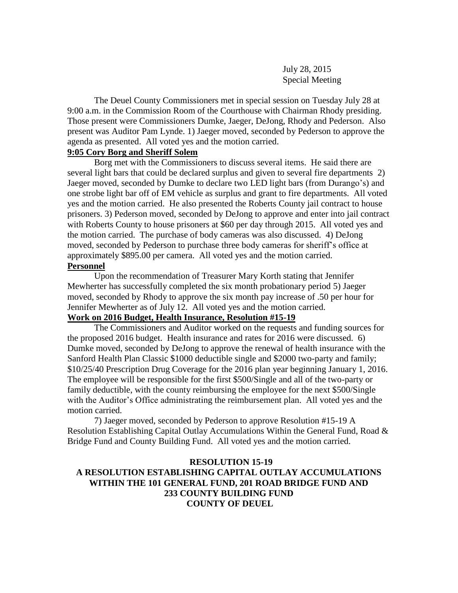### July 28, 2015 Special Meeting

The Deuel County Commissioners met in special session on Tuesday July 28 at 9:00 a.m. in the Commission Room of the Courthouse with Chairman Rhody presiding. Those present were Commissioners Dumke, Jaeger, DeJong, Rhody and Pederson. Also present was Auditor Pam Lynde. 1) Jaeger moved, seconded by Pederson to approve the agenda as presented. All voted yes and the motion carried.

#### **9:05 Cory Borg and Sheriff Solem**

Borg met with the Commissioners to discuss several items. He said there are several light bars that could be declared surplus and given to several fire departments 2) Jaeger moved, seconded by Dumke to declare two LED light bars (from Durango's) and one strobe light bar off of EM vehicle as surplus and grant to fire departments. All voted yes and the motion carried. He also presented the Roberts County jail contract to house prisoners. 3) Pederson moved, seconded by DeJong to approve and enter into jail contract with Roberts County to house prisoners at \$60 per day through 2015. All voted yes and the motion carried. The purchase of body cameras was also discussed. 4) DeJong moved, seconded by Pederson to purchase three body cameras for sheriff's office at approximately \$895.00 per camera. All voted yes and the motion carried.

#### **Personnel**

Upon the recommendation of Treasurer Mary Korth stating that Jennifer Mewherter has successfully completed the six month probationary period 5) Jaeger moved, seconded by Rhody to approve the six month pay increase of .50 per hour for Jennifer Mewherter as of July 12. All voted yes and the motion carried.

# **Work on 2016 Budget, Health Insurance, Resolution #15-19**

The Commissioners and Auditor worked on the requests and funding sources for the proposed 2016 budget. Health insurance and rates for 2016 were discussed. 6) Dumke moved, seconded by DeJong to approve the renewal of health insurance with the Sanford Health Plan Classic \$1000 deductible single and \$2000 two-party and family; \$10/25/40 Prescription Drug Coverage for the 2016 plan year beginning January 1, 2016. The employee will be responsible for the first \$500/Single and all of the two-party or family deductible, with the county reimbursing the employee for the next \$500/Single with the Auditor's Office administrating the reimbursement plan. All voted yes and the motion carried.

7) Jaeger moved, seconded by Pederson to approve Resolution #15-19 A Resolution Establishing Capital Outlay Accumulations Within the General Fund, Road & Bridge Fund and County Building Fund. All voted yes and the motion carried.

#### **RESOLUTION 15-19**

## **A RESOLUTION ESTABLISHING CAPITAL OUTLAY ACCUMULATIONS WITHIN THE 101 GENERAL FUND, 201 ROAD BRIDGE FUND AND 233 COUNTY BUILDING FUND COUNTY OF DEUEL**